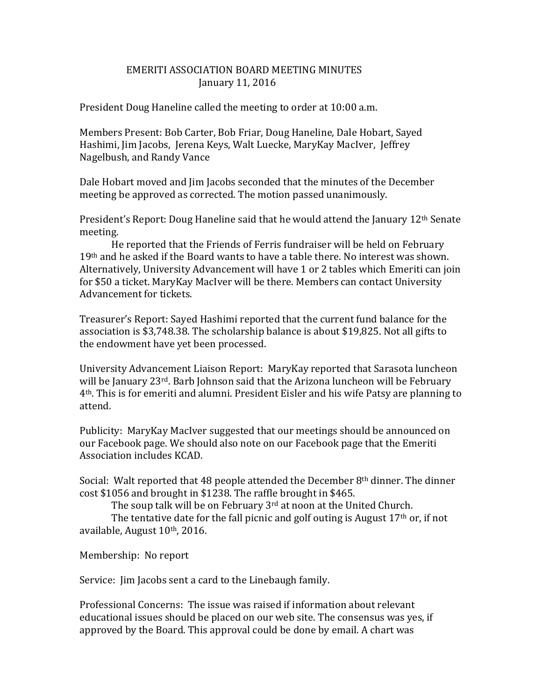## EMERITI ASSOCIATION BOARD MEETING MINUTES January 11, 2016

President Doug Haneline called the meeting to order at 10:00 a.m.

Members Present: Bob Carter, Bob Friar, Doug Haneline, Dale Hobart, Sayed Hashimi, Jim Jacobs, Jerena Keys, Walt Luecke, MaryKay MacIver, Jeffrey Nagelbush, and Randy Vance

Dale Hobart moved and Jim Jacobs seconded that the minutes of the December meeting be approved as corrected. The motion passed unanimously.

President's Report: Doug Haneline said that he would attend the January  $12<sup>th</sup>$  Senate meeting.

He reported that the Friends of Ferris fundraiser will be held on February  $19<sup>th</sup>$  and he asked if the Board wants to have a table there. No interest was shown. Alternatively, University Advancement will have 1 or 2 tables which Emeriti can join for \$50 a ticket. MaryKay MacIver will be there. Members can contact University Advancement for tickets.

Treasurer's Report: Sayed Hashimi reported that the current fund balance for the association is \$3,748.38. The scholarship balance is about \$19,825. Not all gifts to the endowment have yet been processed.

University Advancement Liaison Report: MaryKay reported that Sarasota luncheon will be January 23<sup>rd</sup>. Barb Johnson said that the Arizona luncheon will be February 4th. This is for emeriti and alumni. President Eisler and his wife Patsy are planning to attend.

Publicity: MaryKay MacIver suggested that our meetings should be announced on our Facebook page. We should also note on our Facebook page that the Emeriti Association includes KCAD.

Social: Walt reported that 48 people attended the December  $8<sup>th</sup>$  dinner. The dinner cost \$1056 and brought in \$1238. The raffle brought in \$465.

The soup talk will be on February 3<sup>rd</sup> at noon at the United Church.

The tentative date for the fall picnic and golf outing is August  $17<sup>th</sup>$  or, if not available, August 10th, 2016.

Membership: No report

Service: Jim Jacobs sent a card to the Linebaugh family.

Professional Concerns: The issue was raised if information about relevant educational issues should be placed on our web site. The consensus was yes, if approved by the Board. This approval could be done by email. A chart was